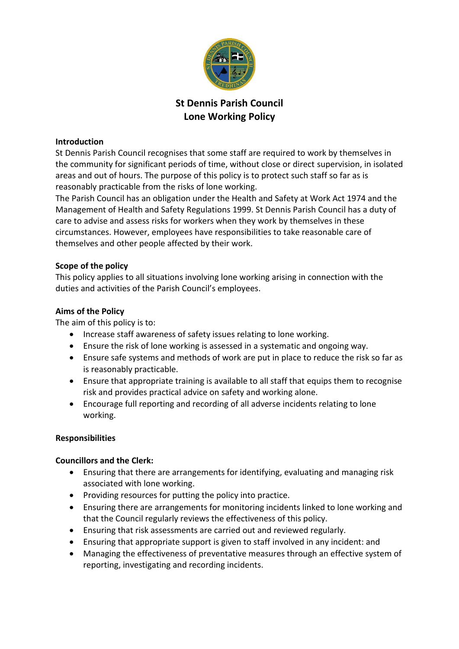

# **St Dennis Parish Council Lone Working Policy**

#### **Introduction**

St Dennis Parish Council recognises that some staff are required to work by themselves in the community for significant periods of time, without close or direct supervision, in isolated areas and out of hours. The purpose of this policy is to protect such staff so far as is reasonably practicable from the risks of lone working.

The Parish Council has an obligation under the Health and Safety at Work Act 1974 and the Management of Health and Safety Regulations 1999. St Dennis Parish Council has a duty of care to advise and assess risks for workers when they work by themselves in these circumstances. However, employees have responsibilities to take reasonable care of themselves and other people affected by their work.

#### **Scope of the policy**

This policy applies to all situations involving lone working arising in connection with the duties and activities of the Parish Council's employees.

#### **Aims of the Policy**

The aim of this policy is to:

- Increase staff awareness of safety issues relating to lone working.
- Ensure the risk of lone working is assessed in a systematic and ongoing way.
- Ensure safe systems and methods of work are put in place to reduce the risk so far as is reasonably practicable.
- Ensure that appropriate training is available to all staff that equips them to recognise risk and provides practical advice on safety and working alone.
- Encourage full reporting and recording of all adverse incidents relating to lone working.

## **Responsibilities**

## **Councillors and the Clerk:**

- Ensuring that there are arrangements for identifying, evaluating and managing risk associated with lone working.
- Providing resources for putting the policy into practice.
- Ensuring there are arrangements for monitoring incidents linked to lone working and that the Council regularly reviews the effectiveness of this policy.
- Ensuring that risk assessments are carried out and reviewed regularly.
- Ensuring that appropriate support is given to staff involved in any incident: and
- Managing the effectiveness of preventative measures through an effective system of reporting, investigating and recording incidents.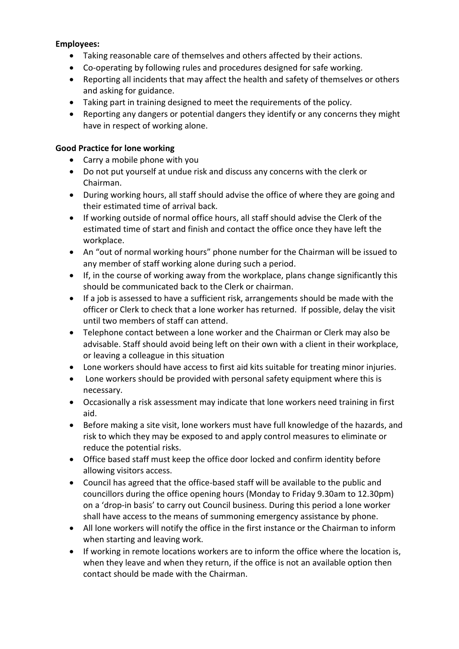#### **Employees:**

- Taking reasonable care of themselves and others affected by their actions.
- Co-operating by following rules and procedures designed for safe working.
- Reporting all incidents that may affect the health and safety of themselves or others and asking for guidance.
- Taking part in training designed to meet the requirements of the policy.
- Reporting any dangers or potential dangers they identify or any concerns they might have in respect of working alone.

#### **Good Practice for lone working**

- Carry a mobile phone with you
- Do not put yourself at undue risk and discuss any concerns with the clerk or Chairman.
- During working hours, all staff should advise the office of where they are going and their estimated time of arrival back.
- If working outside of normal office hours, all staff should advise the Clerk of the estimated time of start and finish and contact the office once they have left the workplace.
- An "out of normal working hours" phone number for the Chairman will be issued to any member of staff working alone during such a period.
- If, in the course of working away from the workplace, plans change significantly this should be communicated back to the Clerk or chairman.
- If a job is assessed to have a sufficient risk, arrangements should be made with the officer or Clerk to check that a lone worker has returned. If possible, delay the visit until two members of staff can attend.
- Telephone contact between a lone worker and the Chairman or Clerk may also be advisable. Staff should avoid being left on their own with a client in their workplace, or leaving a colleague in this situation
- Lone workers should have access to first aid kits suitable for treating minor injuries.
- Lone workers should be provided with personal safety equipment where this is necessary.
- Occasionally a risk assessment may indicate that lone workers need training in first aid.
- Before making a site visit, lone workers must have full knowledge of the hazards, and risk to which they may be exposed to and apply control measures to eliminate or reduce the potential risks.
- Office based staff must keep the office door locked and confirm identity before allowing visitors access.
- Council has agreed that the office-based staff will be available to the public and councillors during the office opening hours (Monday to Friday 9.30am to 12.30pm) on a 'drop-in basis' to carry out Council business. During this period a lone worker shall have access to the means of summoning emergency assistance by phone.
- All lone workers will notify the office in the first instance or the Chairman to inform when starting and leaving work.
- If working in remote locations workers are to inform the office where the location is, when they leave and when they return, if the office is not an available option then contact should be made with the Chairman.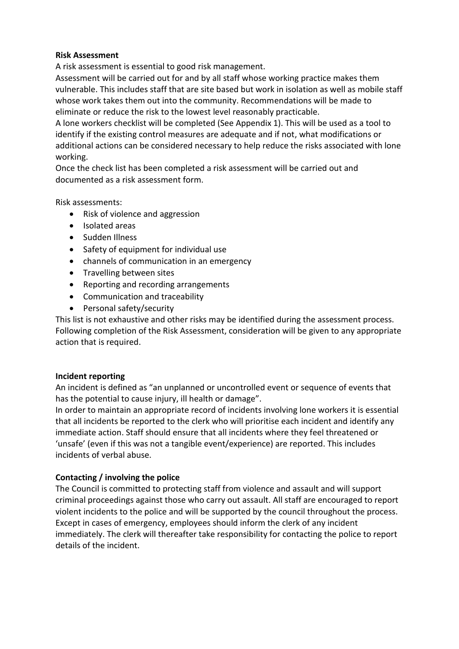#### **Risk Assessment**

A risk assessment is essential to good risk management.

Assessment will be carried out for and by all staff whose working practice makes them vulnerable. This includes staff that are site based but work in isolation as well as mobile staff whose work takes them out into the community. Recommendations will be made to eliminate or reduce the risk to the lowest level reasonably practicable.

A lone workers checklist will be completed (See Appendix 1). This will be used as a tool to identify if the existing control measures are adequate and if not, what modifications or additional actions can be considered necessary to help reduce the risks associated with lone working.

Once the check list has been completed a risk assessment will be carried out and documented as a risk assessment form.

Risk assessments:

- Risk of violence and aggression
- Isolated areas
- Sudden Illness
- Safety of equipment for individual use
- channels of communication in an emergency
- Travelling between sites
- Reporting and recording arrangements
- Communication and traceability
- Personal safety/security

This list is not exhaustive and other risks may be identified during the assessment process. Following completion of the Risk Assessment, consideration will be given to any appropriate action that is required.

## **Incident reporting**

An incident is defined as "an unplanned or uncontrolled event or sequence of events that has the potential to cause injury, ill health or damage".

In order to maintain an appropriate record of incidents involving lone workers it is essential that all incidents be reported to the clerk who will prioritise each incident and identify any immediate action. Staff should ensure that all incidents where they feel threatened or 'unsafe' (even if this was not a tangible event/experience) are reported. This includes incidents of verbal abuse.

## **Contacting / involving the police**

The Council is committed to protecting staff from violence and assault and will support criminal proceedings against those who carry out assault. All staff are encouraged to report violent incidents to the police and will be supported by the council throughout the process. Except in cases of emergency, employees should inform the clerk of any incident immediately. The clerk will thereafter take responsibility for contacting the police to report details of the incident.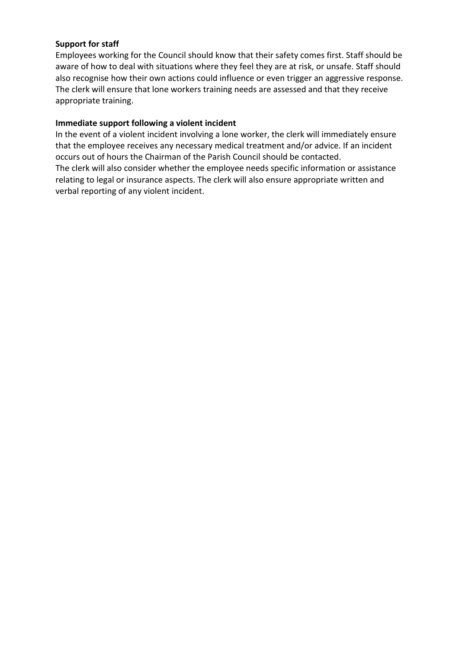#### **Support for staff**

Employees working for the Council should know that their safety comes first. Staff should be aware of how to deal with situations where they feel they are at risk, or unsafe. Staff should also recognise how their own actions could influence or even trigger an aggressive response. The clerk will ensure that lone workers training needs are assessed and that they receive appropriate training.

#### **Immediate support following a violent incident**

In the event of a violent incident involving a lone worker, the clerk will immediately ensure that the employee receives any necessary medical treatment and/or advice. If an incident occurs out of hours the Chairman of the Parish Council should be contacted. The clerk will also consider whether the employee needs specific information or assistance relating to legal or insurance aspects. The clerk will also ensure appropriate written and verbal reporting of any violent incident.